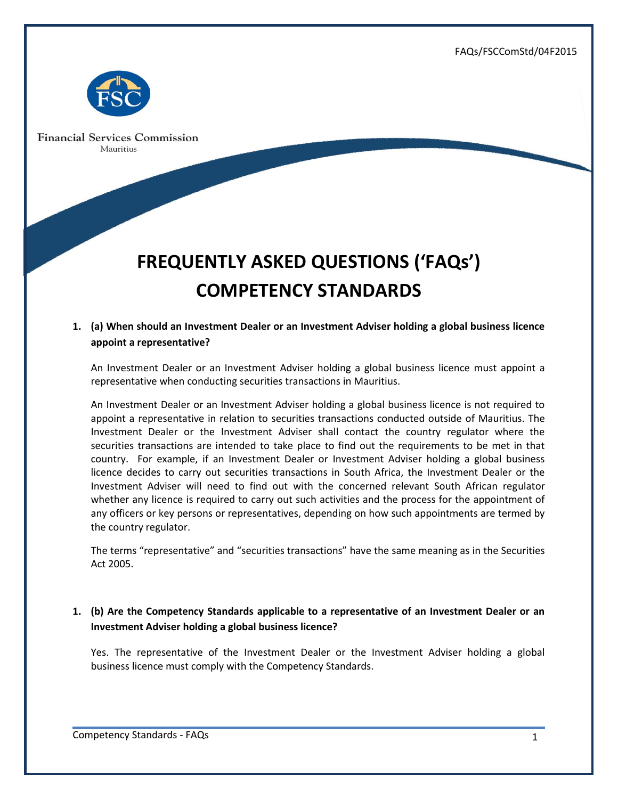FAQs/FSCComStd/04F2015



**Financial Services Commission** Mauritius

# **FREQUENTLY ASKED QUESTIONS ('FAQs') COMPETENCY STANDARDS**

## **1. (a) When should an Investment Dealer or an Investment Adviser holding a global business licence appoint a representative?**

An Investment Dealer or an Investment Adviser holding a global business licence must appoint a representative when conducting securities transactions in Mauritius.

An Investment Dealer or an Investment Adviser holding a global business licence is not required to appoint a representative in relation to securities transactions conducted outside of Mauritius. The Investment Dealer or the Investment Adviser shall contact the country regulator where the securities transactions are intended to take place to find out the requirements to be met in that country. For example, if an Investment Dealer or Investment Adviser holding a global business licence decides to carry out securities transactions in South Africa, the Investment Dealer or the Investment Adviser will need to find out with the concerned relevant South African regulator whether any licence is required to carry out such activities and the process for the appointment of any officers or key persons or representatives, depending on how such appointments are termed by the country regulator.

The terms "representative" and "securities transactions" have the same meaning as in the Securities Act 2005.

## **1. (b) Are the Competency Standards applicable to a representative of an Investment Dealer or an Investment Adviser holding a global business licence?**

Yes. The representative of the Investment Dealer or the Investment Adviser holding a global business licence must comply with the Competency Standards.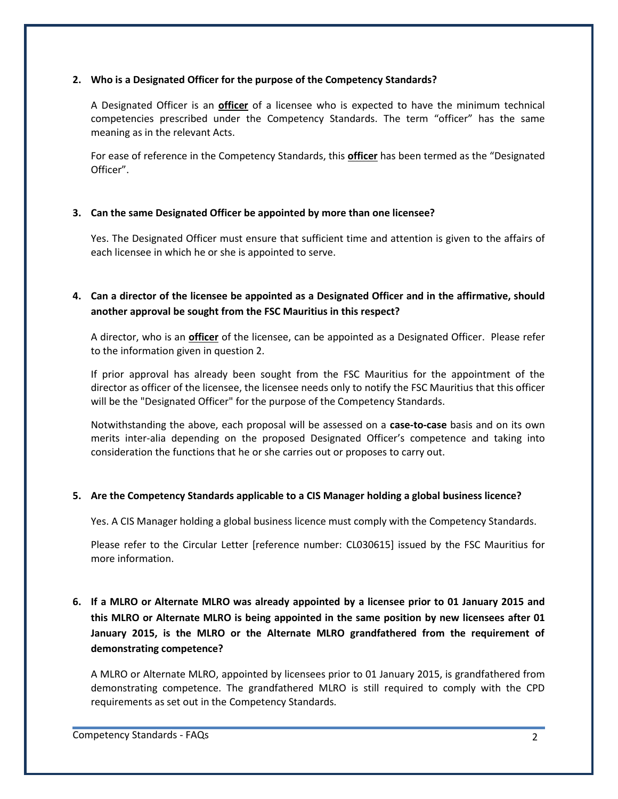#### **2. Who is a Designated Officer for the purpose of the Competency Standards?**

A Designated Officer is an **officer** of a licensee who is expected to have the minimum technical competencies prescribed under the Competency Standards. The term "officer" has the same meaning as in the relevant Acts.

For ease of reference in the Competency Standards, this **officer** has been termed as the "Designated Officer".

#### **3. Can the same Designated Officer be appointed by more than one licensee?**

Yes. The Designated Officer must ensure that sufficient time and attention is given to the affairs of each licensee in which he or she is appointed to serve.

## **4. Can a director of the licensee be appointed as a Designated Officer and in the affirmative, should another approval be sought from the FSC Mauritius in this respect?**

A director, who is an **officer** of the licensee, can be appointed as a Designated Officer. Please refer to the information given in question 2.

If prior approval has already been sought from the FSC Mauritius for the appointment of the director as officer of the licensee, the licensee needs only to notify the FSC Mauritius that this officer will be the "Designated Officer" for the purpose of the Competency Standards.

Notwithstanding the above, each proposal will be assessed on a **case-to-case** basis and on its own merits inter-alia depending on the proposed Designated Officer's competence and taking into consideration the functions that he or she carries out or proposes to carry out.

#### **5. Are the Competency Standards applicable to a CIS Manager holding a global business licence?**

Yes. A CIS Manager holding a global business licence must comply with the Competency Standards.

Please refer to the Circular Letter [reference number: CL030615] issued by the FSC Mauritius for more information.

**6. If a MLRO or Alternate MLRO was already appointed by a licensee prior to 01 January 2015 and this MLRO or Alternate MLRO is being appointed in the same position by new licensees after 01 January 2015, is the MLRO or the Alternate MLRO grandfathered from the requirement of demonstrating competence?**

A MLRO or Alternate MLRO, appointed by licensees prior to 01 January 2015, is grandfathered from demonstrating competence. The grandfathered MLRO is still required to comply with the CPD requirements as set out in the Competency Standards.